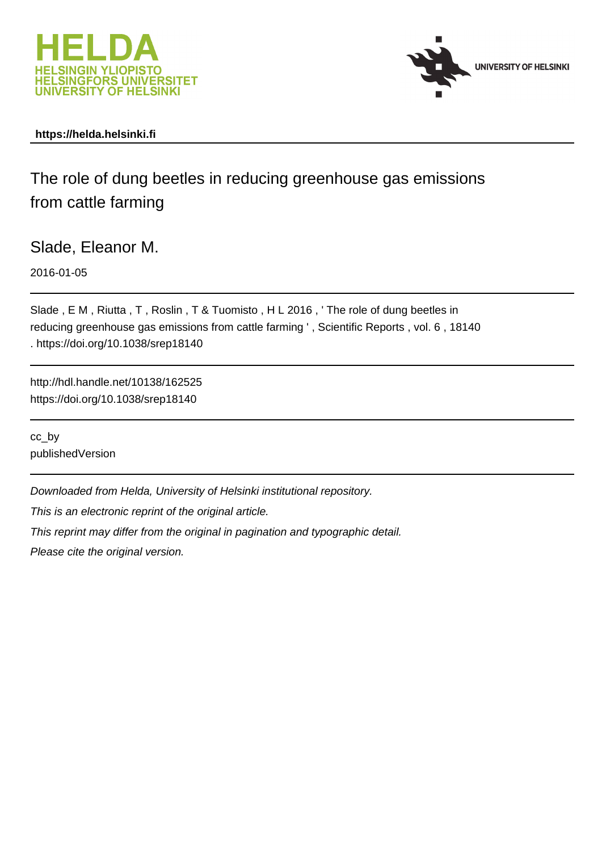



### **https://helda.helsinki.fi**

## The role of dung beetles in reducing greenhouse gas emissions from cattle farming

Slade, Eleanor M.

2016-01-05

Slade , E M , Riutta , T , Roslin , T & Tuomisto , H L 2016 , ' The role of dung beetles in reducing greenhouse gas emissions from cattle farming ' , Scientific Reports , vol. 6 , 18140 . https://doi.org/10.1038/srep18140

http://hdl.handle.net/10138/162525 https://doi.org/10.1038/srep18140

cc\_by publishedVersion

Downloaded from Helda, University of Helsinki institutional repository.

This is an electronic reprint of the original article.

This reprint may differ from the original in pagination and typographic detail.

Please cite the original version.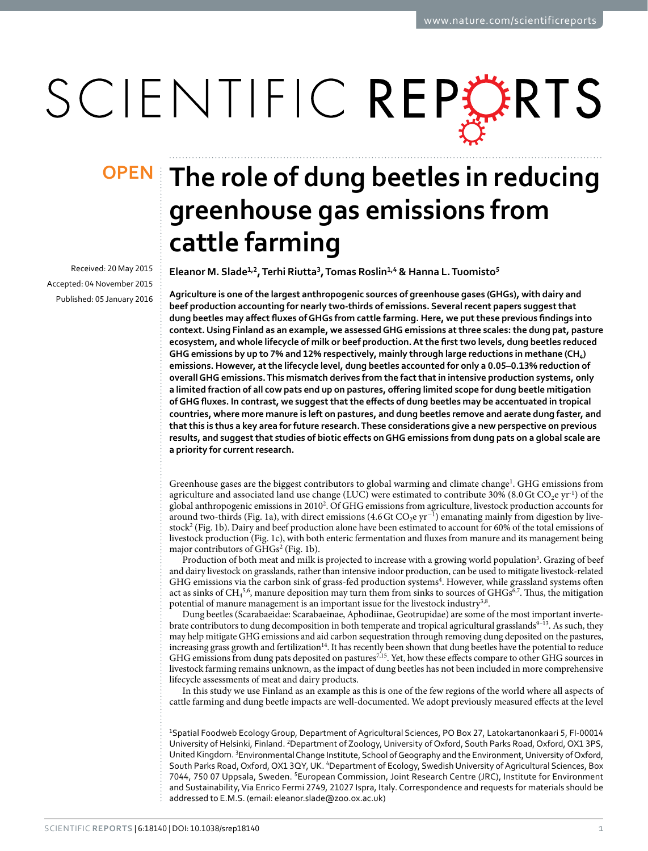# SCIENTIFIC REPERTS

Received: 20 May 2015 accepted: 04 November 2015 Published: 05 January 2016

## **The role of dung beetles in reducing OPENgreenhouse gas emissions from cattle farming**

**Eleanor M. Slade<sup>1</sup>,<sup>2</sup>, Terhi Riutta<sup>3</sup>, Tomas Roslin<sup>1</sup>,<sup>4</sup> & Hanna L.Tuomisto<sup>5</sup>**

**Agriculture is one of the largest anthropogenic sources of greenhouse gases (GHGs), with dairy and beef production accounting for nearly two-thirds of emissions. Several recent papers suggest that dung beetles may affect fluxes of GHGs from cattle farming. Here, we put these previous findings into context. Using Finland as an example, we assessed GHG emissions at three scales: the dung pat, pasture ecosystem, and whole lifecycle of milk or beef production. At the first two levels, dung beetles reduced**  GHG emissions by up to 7% and 12% respectively, mainly through large reductions in methane (CH<sub>4</sub>) **emissions. However, at the lifecycle level, dung beetles accounted for only a 0.05–0.13% reduction of overall GHG emissions. This mismatch derives from the fact that in intensive production systems, only a limited fraction of all cow pats end up on pastures, offering limited scope for dung beetle mitigation of GHG fluxes. In contrast, we suggest that the effects of dung beetles may be accentuated in tropical countries, where more manure is left on pastures, and dung beetles remove and aerate dung faster, and that this is thus a key area for future research. These considerations give a new perspective on previous results, and suggest that studies of biotic effects on GHG emissions from dung pats on a global scale are a priority for current research.**

Greenhouse gases are the biggest contributors to global warming and climate change<sup>1</sup>. GHG emissions from agriculture and associated land use change (LUC) were estimated to contribute 30% (8.0 Gt CO<sub>2</sub>e yr<sup>-1</sup>) of the global anthropogenic emissions in 20102 . Of GHG emissions from agriculture, livestock production accounts for around two-thirds (Fig. 1a), with direct emissions (4.6 Gt CO<sub>2</sub>e yr<sup>-1</sup>) emanating mainly from digestion by livestock2 (Fig. 1b). Dairy and beef production alone have been estimated to account for 60% of the total emissions of livestock production (Fig. 1c), with both enteric fermentation and fluxes from manure and its management being major contributors of GHGs<sup>2</sup> (Fig. 1b).

Production of both meat and milk is projected to increase with a growing world population<sup>3</sup>. Grazing of beef and dairy livestock on grasslands, rather than intensive indoor production, can be used to mitigate livestock-related GHG emissions via the carbon sink of grass-fed production systems<sup>4</sup>. However, while grassland systems often act as sinks of  $CH_4^{5,6}$ , manure deposition may turn them from sinks to sources of  $GHGs^{6,7}$ . Thus, the mitigation potential of manure management is an important issue for the livestock industry<sup>3,8</sup>.

Dung beetles (Scarabaeidae: Scarabaeinae, Aphodiinae, Geotrupidae) are some of the most important invertebrate contributors to dung decomposition in both temperate and tropical agricultural grasslands<sup>9–13</sup>. As such, they may help mitigate GHG emissions and aid carbon sequestration through removing dung deposited on the pastures, increasing grass growth and fertilization<sup>14</sup>. It has recently been shown that dung beetles have the potential to reduce GHG emissions from dung pats deposited on pastures7,15. Yet, how these effects compare to other GHG sources in livestock farming remains unknown, as the impact of dung beetles has not been included in more comprehensive lifecycle assessments of meat and dairy products.

In this study we use Finland as an example as this is one of the few regions of the world where all aspects of cattle farming and dung beetle impacts are well-documented. We adopt previously measured effects at the level

1 Spatial Foodweb Ecology Group, Department of Agricultural Sciences, PO Box 27, Latokartanonkaari 5, FI-00014 University of Helsinki, Finland. <sup>2</sup>Department of Zoology, University of Oxford, South Parks Road, Oxford, OX1 3PS, United Kingdom. <sup>3</sup> Environmental Change Institute, School of Geography and the Environment, University of Oxford, South Parks Road, Oxford, OX1 3QY, UK. <sup>4</sup>Department of Ecology, Swedish University of Agricultural Sciences, Box 7044, 750 07 Uppsala, Sweden. <sup>5</sup>European Commission, Joint Research Centre (JRC), Institute for Environment and Sustainability, Via Enrico Fermi 2749, 21027 Ispra, Italy. Correspondence and requests for materials should be addressed to E.M.S. (email: [eleanor.slade@zoo.ox.ac.uk\)](mailto:eleanor.slade@zoo.ox.ac.uk)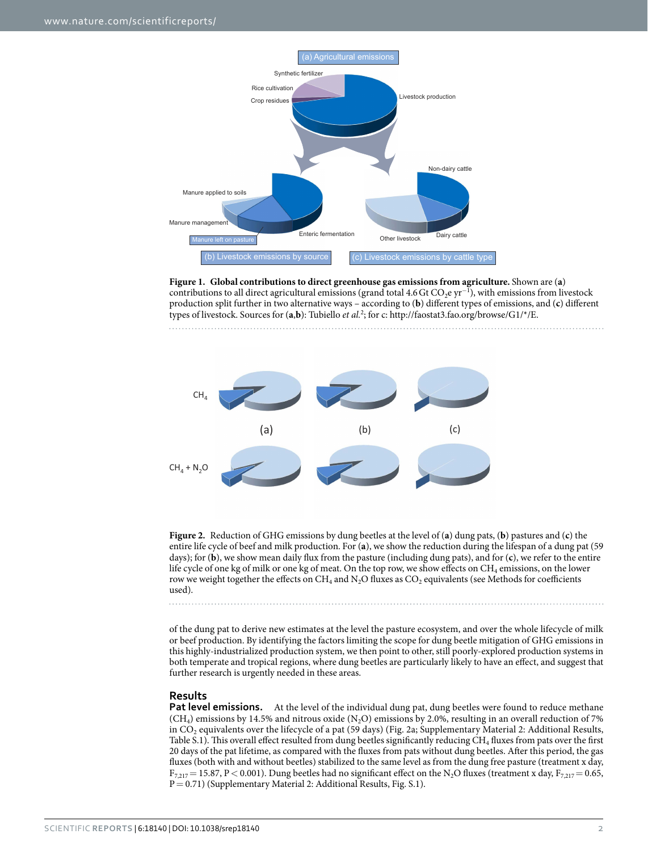

**Figure 1. Global contributions to direct greenhouse gas emissions from agriculture.** Shown are (**a**) contributions to all direct agricultural emissions (grand total 4.6 Gt  $CO_2$ e yr<sup>-1</sup>), with emissions from livestock production split further in two alternative ways – according to (**b**) different types of emissions, and (**c**) different types of livestock. Sources for (**a**,**b**): Tubiello *et al.*2 ; for c: http://faostat3.fao.org/browse/G1/\*/E.



**Figure 2.** Reduction of GHG emissions by dung beetles at the level of (**a**) dung pats, (**b**) pastures and (**c**) the entire life cycle of beef and milk production. For (**a**), we show the reduction during the lifespan of a dung pat (59 days); for (**b**), we show mean daily flux from the pasture (including dung pats), and for (**c**), we refer to the entire life cycle of one kg of milk or one kg of meat. On the top row, we show effects on CH<sub>4</sub> emissions, on the lower row we weight together the effects on  $CH_4$  and  $N_2O$  fluxes as  $CO_2$  equivalents (see Methods for coefficients used).

of the dung pat to derive new estimates at the level the pasture ecosystem, and over the whole lifecycle of milk or beef production. By identifying the factors limiting the scope for dung beetle mitigation of GHG emissions in this highly-industrialized production system, we then point to other, still poorly-explored production systems in both temperate and tropical regions, where dung beetles are particularly likely to have an effect, and suggest that further research is urgently needed in these areas.

#### **Results**

. . . . . . . .

**Pat level emissions.** At the level of the individual dung pat, dung beetles were found to reduce methane  $(CH<sub>4</sub>)$  emissions by 14.5% and nitrous oxide (N<sub>2</sub>O) emissions by 2.0%, resulting in an overall reduction of 7% in  $CO<sub>2</sub>$  equivalents over the lifecycle of a pat (59 days) (Fig. 2a; Supplementary Material 2: Additional Results, Table S.1). This overall effect resulted from dung beetles significantly reducing CH<sub>4</sub> fluxes from pats over the first 20 days of the pat lifetime, as compared with the fluxes from pats without dung beetles. After this period, the gas fluxes (both with and without beetles) stabilized to the same level as from the dung free pasture (treatment x day,  $F_{7,217}$  = 15.87, P < 0.001). Dung beetles had no significant effect on the N<sub>2</sub>O fluxes (treatment x day,  $F_{7,217}$  = 0.65, P = 0.71) (Supplementary Material 2: Additional Results, Fig. S.1).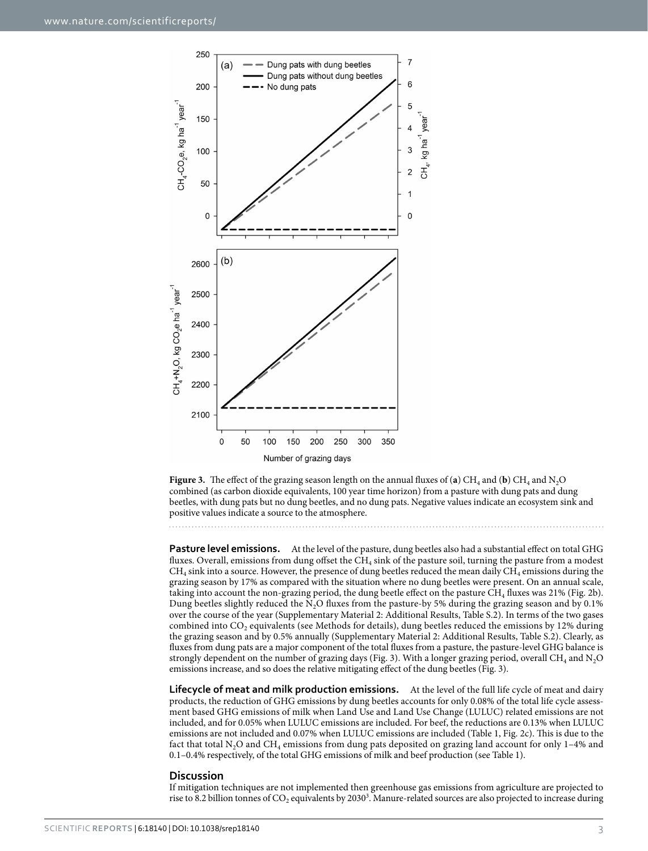

**Figure 3.** The effect of the grazing season length on the annual fluxes of (a) CH<sub>4</sub> and (b) CH<sub>4</sub> and N<sub>2</sub>O combined (as carbon dioxide equivalents, 100 year time horizon) from a pasture with dung pats and dung beetles, with dung pats but no dung beetles, and no dung pats. Negative values indicate an ecosystem sink and positive values indicate a source to the atmosphere.

**Pasture level emissions.** At the level of the pasture, dung beetles also had a substantial effect on total GHG fluxes. Overall, emissions from dung offset the CH<sub>4</sub> sink of the pasture soil, turning the pasture from a modest  $CH<sub>4</sub>$  sink into a source. However, the presence of dung beetles reduced the mean daily  $CH<sub>4</sub>$  emissions during the grazing season by 17% as compared with the situation where no dung beetles were present. On an annual scale, taking into account the non-grazing period, the dung beetle effect on the pasture  $CH_4$  fluxes was 21% (Fig. 2b). Dung beetles slightly reduced the N<sub>2</sub>O fluxes from the pasture-by 5% during the grazing season and by 0.1% over the course of the year (Supplementary Material 2: Additional Results, Table S.2). In terms of the two gases combined into  $CO<sub>2</sub>$  equivalents (see Methods for details), dung beetles reduced the emissions by 12% during the grazing season and by 0.5% annually (Supplementary Material 2: Additional Results, Table S.2). Clearly, as fluxes from dung pats are a major component of the total fluxes from a pasture, the pasture-level GHG balance is strongly dependent on the number of grazing days (Fig. 3). With a longer grazing period, overall CH<sub>4</sub> and N<sub>2</sub>O emissions increase, and so does the relative mitigating effect of the dung beetles (Fig. 3).

**Lifecycle of meat and milk production emissions.** At the level of the full life cycle of meat and dairy products, the reduction of GHG emissions by dung beetles accounts for only 0.08% of the total life cycle assessment based GHG emissions of milk when Land Use and Land Use Change (LULUC) related emissions are not included, and for 0.05% when LULUC emissions are included. For beef, the reductions are 0.13% when LULUC emissions are not included and 0.07% when LULUC emissions are included (Table 1, Fig. 2c). This is due to the fact that total  $N_2O$  and  $CH_4$  emissions from dung pats deposited on grazing land account for only 1–4% and 0.1–0.4% respectively, of the total GHG emissions of milk and beef production (see Table 1).

#### **Discussion**

If mitigation techniques are not implemented then greenhouse gas emissions from agriculture are projected to rise to 8.2 billion tonnes of  $\rm CO_2$  equivalents by 2030<sup>3</sup>. Manure-related sources are also projected to increase during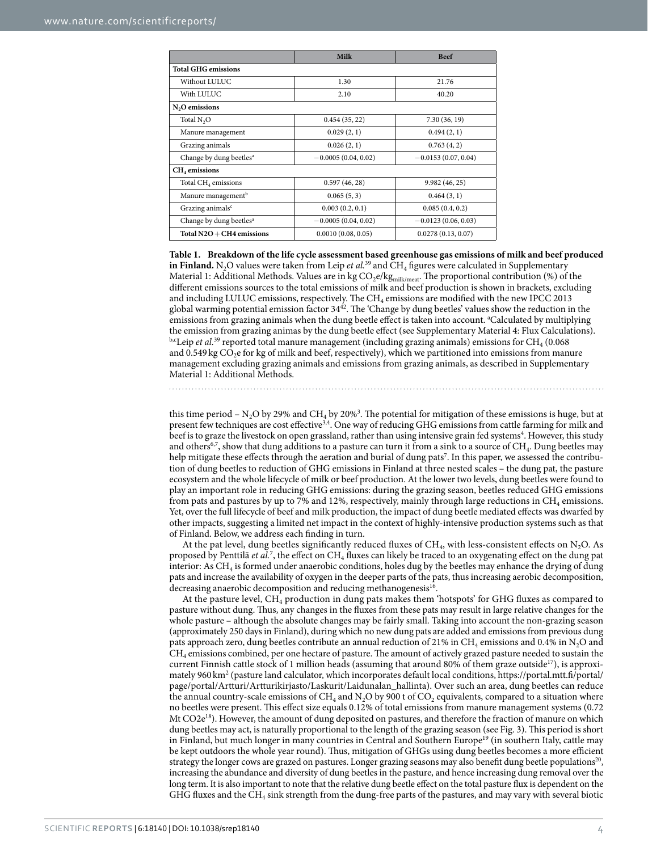|                                     | Milk                  | <b>Beef</b>           |
|-------------------------------------|-----------------------|-----------------------|
| <b>Total GHG emissions</b>          |                       |                       |
| Without LULUC                       | 1.30                  | 21.76                 |
| With LULUC                          | 2.10                  | 40.20                 |
| N <sub>2</sub> O emissions          |                       |                       |
| Total N <sub>2</sub> O              | 0.454(35, 22)         | 7.30 (36, 19)         |
| Manure management                   | 0.029(2, 1)           | 0.494(2, 1)           |
| Grazing animals                     | 0.026(2, 1)           | 0.763(4,2)            |
| Change by dung beetles <sup>a</sup> | $-0.0005(0.04, 0.02)$ | $-0.0153(0.07, 0.04)$ |
| CH <sub>4</sub> emissions           |                       |                       |
| Total CH <sub>4</sub> emissions     | 0.597(46, 28)         | 9.982(46, 25)         |
| Manure management <sup>b</sup>      | 0.065(5, 3)           | 0.464(3, 1)           |
| Grazing animals <sup>c</sup>        | 0.003(0.2, 0.1)       | 0.085(0.4, 0.2)       |
| Change by dung beetles <sup>a</sup> | $-0.0005(0.04, 0.02)$ | $-0.0123(0.06, 0.03)$ |
| Total $N2O + CH4$ emissions         | 0.0010(0.08, 0.05)    | 0.0278(0.13, 0.07)    |

**Table 1. Breakdown of the life cycle assessment based greenhouse gas emissions of milk and beef produced in Finland.** N<sub>2</sub>O values were taken from Leip *et al.*<sup>39</sup> and CH<sub>4</sub> figures were calculated in Supplementary Material 1: Additional Methods. Values are in kg  $CO_2e/kg_{\rm milk/meat}$ . The proportional contribution (%) of the different emissions sources to the total emissions of milk and beef production is shown in brackets, excluding and including LULUC emissions, respectively. The CH<sub>4</sub> emissions are modified with the new IPCC 2013 global warming potential emission factor 3442. The 'Change by dung beetles' values show the reduction in the emissions from grazing animals when the dung beetle effect is taken into account. <sup>a</sup>Calculated by multiplying the emission from grazing animas by the dung beetle effect (see Supplementary Material 4: Flux Calculations). b,cLeip *et al.*<sup>39</sup> reported total manure management (including grazing animals) emissions for CH<sub>4</sub> (0.068 and 0.549 kg  $CO<sub>2</sub>e$  for kg of milk and beef, respectively), which we partitioned into emissions from manure management excluding grazing animals and emissions from grazing animals, as described in Supplementary Material 1: Additional Methods.

this time period –  $N_2O$  by 29% and CH<sub>4</sub> by 20%<sup>3</sup>. The potential for mitigation of these emissions is huge, but at present few techniques are cost effective3,4. One way of reducing GHG emissions from cattle farming for milk and beef is to graze the livestock on open grassland, rather than using intensive grain fed systems<sup>4</sup>. However, this study and others<sup>6,7</sup>, show that dung additions to a pasture can turn it from a sink to a source of CH<sub>4</sub>. Dung beetles may help mitigate these effects through the aeration and burial of dung pats<sup>7</sup>. In this paper, we assessed the contribution of dung beetles to reduction of GHG emissions in Finland at three nested scales – the dung pat, the pasture ecosystem and the whole lifecycle of milk or beef production. At the lower two levels, dung beetles were found to

play an important role in reducing GHG emissions: during the grazing season, beetles reduced GHG emissions from pats and pastures by up to 7% and 12%, respectively, mainly through large reductions in  $CH_4$  emissions. Yet, over the full lifecycle of beef and milk production, the impact of dung beetle mediated effects was dwarfed by other impacts, suggesting a limited net impact in the context of highly-intensive production systems such as that of Finland. Below, we address each finding in turn.

At the pat level, dung beetles significantly reduced fluxes of  $CH_4$ , with less-consistent effects on N<sub>2</sub>O. As proposed by Penttilä *et al.*<sup>7</sup>, the effect on CH<sub>4</sub> fluxes can likely be traced to an oxygenating effect on the dung pat interior: As CH<sub>4</sub> is formed under anaerobic conditions, holes dug by the beetles may enhance the drying of dung pats and increase the availability of oxygen in the deeper parts of the pats, thus increasing aerobic decomposition, decreasing anaerobic decomposition and reducing methanogenesis<sup>16</sup>.

At the pasture level, CH4 production in dung pats makes them 'hotspots' for GHG fluxes as compared to pasture without dung. Thus, any changes in the fluxes from these pats may result in large relative changes for the whole pasture – although the absolute changes may be fairly small. Taking into account the non-grazing season (approximately 250 days in Finland), during which no new dung pats are added and emissions from previous dung pats approach zero, dung beetles contribute an annual reduction of 21% in CH<sub>4</sub> emissions and 0.4% in N<sub>2</sub>O and CH4 emissions combined, per one hectare of pasture. The amount of actively grazed pasture needed to sustain the current Finnish cattle stock of 1 million heads (assuming that around 80% of them graze outside<sup>17</sup>), is approximately 960 km<sup>2</sup> (pasture land calculator, which incorporates default local conditions, https://portal.mtt.fi/portal/ page/portal/Artturi/Artturikirjasto/Laskurit/Laidunalan\_hallinta). Over such an area, dung beetles can reduce the annual country-scale emissions of  $CH_4$  and  $N_2O$  by 900 t of  $CO_2$  equivalents, compared to a situation where no beetles were present. This effect size equals 0.12% of total emissions from manure management systems (0.72 Mt CO2e<sup>18</sup>). However, the amount of dung deposited on pastures, and therefore the fraction of manure on which dung beetles may act, is naturally proportional to the length of the grazing season (see Fig. 3). This period is short in Finland, but much longer in many countries in Central and Southern Europe<sup>19</sup> (in southern Italy, cattle may be kept outdoors the whole year round). Thus, mitigation of GHGs using dung beetles becomes a more efficient strategy the longer cows are grazed on pastures. Longer grazing seasons may also benefit dung beetle populations<sup>20</sup>, increasing the abundance and diversity of dung beetles in the pasture, and hence increasing dung removal over the long term. It is also important to note that the relative dung beetle effect on the total pasture flux is dependent on the GHG fluxes and the CH4 sink strength from the dung-free parts of the pastures, and may vary with several biotic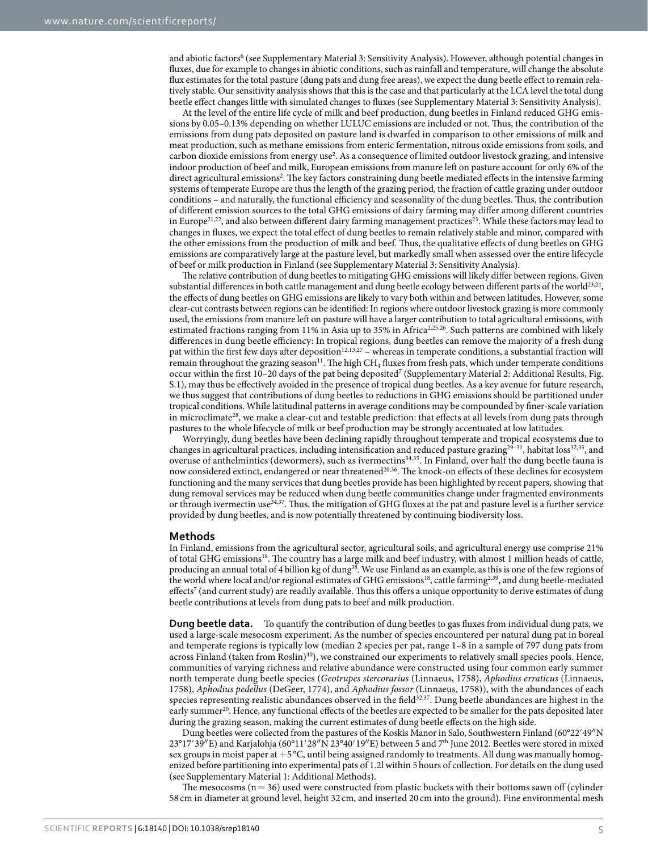and abiotic factors<sup>6</sup> (see Supplementary Material 3: Sensitivity Analysis). However, although potential changes in fluxes, due for example to changes in abiotic conditions, such as rainfall and temperature, will change the absolute flux estimates for the total pasture (dung pats and dung free areas), we expect the dung beetle effect to remain relatively stable. Our sensitivity analysis shows that this is the case and that particularly at the LCA level the total dung beetle effect changes little with simulated changes to fluxes (see Supplementary Material 3: Sensitivity Analysis).

At the level of the entire life cycle of milk and beef production, dung beetles in Finland reduced GHG emissions by 0.05–0.13% depending on whether LULUC emissions are included or not. Thus, the contribution of the emissions from dung pats deposited on pasture land is dwarfed in comparison to other emissions of milk and meat production, such as methane emissions from enteric fermentation, nitrous oxide emissions from soils, and carbon dioxide emissions from energy use<sup>2</sup>. As a consequence of limited outdoor livestock grazing, and intensive indoor production of beef and milk, European emissions from manure left on pasture account for only 6% of the direct agricultural emissions<sup>2</sup>. The key factors constraining dung beetle mediated effects in the intensive farming systems of temperate Europe are thus the length of the grazing period, the fraction of cattle grazing under outdoor conditions – and naturally, the functional efficiency and seasonality of the dung beetles. Thus, the contribution of different emission sources to the total GHG emissions of dairy farming may differ among different countries in Europe<sup>21,22</sup>, and also between different dairy farming management practices<sup>23</sup>. While these factors may lead to changes in fluxes, we expect the total effect of dung beetles to remain relatively stable and minor, compared with the other emissions from the production of milk and beef. Thus, the qualitative effects of dung beetles on GHG emissions are comparatively large at the pasture level, but markedly small when assessed over the entire lifecycle of beef or milk production in Finland (see Supplementary Material 3: Sensitivity Analysis).

The relative contribution of dung beetles to mitigating GHG emissions will likely differ between regions. Given substantial differences in both cattle management and dung beetle ecology between different parts of the world<sup>23,24</sup>, the effects of dung beetles on GHG emissions are likely to vary both within and between latitudes. However, some clear-cut contrasts between regions can be identified: In regions where outdoor livestock grazing is more commonly used, the emissions from manure left on pasture will have a larger contribution to total agricultural emissions, with estimated fractions ranging from 11% in Asia up to 35% in Africa<sup>2,25,26</sup>. Such patterns are combined with likely differences in dung beetle efficiency: In tropical regions, dung beetles can remove the majority of a fresh dung pat within the first few days after deposition<sup>12,13,27</sup> – whereas in temperate conditions, a substantial fraction will remain throughout the grazing season<sup>11</sup>. The high CH<sub>4</sub> fluxes from fresh pats, which under temperate conditions occur within the first 10-20 days of the pat being deposited<sup>7</sup> (Supplementary Material 2: Additional Results, Fig. S.1), may thus be effectively avoided in the presence of tropical dung beetles. As a key avenue for future research, we thus suggest that contributions of dung beetles to reductions in GHG emissions should be partitioned under tropical conditions. While latitudinal patterns in average conditions may be compounded by finer-scale variation in microclimate<sup>28</sup>, we make a clear-cut and testable prediction: that effects at all levels from dung pats through pastures to the whole lifecycle of milk or beef production may be strongly accentuated at low latitudes.

Worryingly, dung beetles have been declining rapidly throughout temperate and tropical ecosystems due to changes in agricultural practices, including intensification and reduced pasture grazing<sup>29-31</sup>, habitat loss<sup>32,33</sup>, and overuse of anthelmintics (dewormers), such as ivermectins<sup>34,35</sup>. In Finland, over half the dung beetle fauna is now considered extinct, endangered or near threatened<sup>20,36</sup>. The knock-on effects of these declines for ecosystem functioning and the many services that dung beetles provide has been highlighted by recent papers, showing that dung removal services may be reduced when dung beetle communities change under fragmented environments or through ivermectin use34,37. Thus, the mitigation of GHG fluxes at the pat and pasture level is a further service provided by dung beetles, and is now potentially threatened by continuing biodiversity loss.

#### **Methods**

In Finland, emissions from the agricultural sector, agricultural soils, and agricultural energy use comprise 21% of total GHG emissions18. The country has a large milk and beef industry, with almost 1 million heads of cattle, producing an annual total of 4 billion kg of dung38. We use Finland as an example, as this is one of the few regions of the world where local and/or regional estimates of GHG emissions<sup>18</sup>, cattle farming<sup>2,39</sup>, and dung beetle-mediated effects<sup>7</sup> (and current study) are readily available. Thus this offers a unique opportunity to derive estimates of dung beetle contributions at levels from dung pats to beef and milk production.

**Dung beetle data.** To quantify the contribution of dung beetles to gas fluxes from individual dung pats, we used a large-scale mesocosm experiment. As the number of species encountered per natural dung pat in boreal and temperate regions is typically low (median 2 species per pat, range 1–8 in a sample of 797 dung pats from across Finland (taken from Roslin)<sup>40</sup>), we constrained our experiments to relatively small species pools. Hence, communities of varying richness and relative abundance were constructed using four common early summer north temperate dung beetle species (*Geotrupes stercorarius* (Linnaeus, 1758), *Aphodius erraticus* (Linnaeus, 1758), *Aphodius pedellus* (DeGeer, 1774), and *Aphodius fossor* (Linnaeus, 1758)), with the abundances of each species representing realistic abundances observed in the field $32,37$ . Dung beetle abundances are highest in the early summer<sup>20</sup>. Hence, any functional effects of the beetles are expected to be smaller for the pats deposited later during the grazing season, making the current estimates of dung beetle effects on the high side.

Dung beetles were collected from the pastures of the Koskis Manor in Salo, Southwestern Finland (60°22′49″N 23°17′39″E) and Karjalohja (60°11′28″N 23°40′19″E) between 5 and 7th June 2012. Beetles were stored in mixed sex groups in moist paper at +5 °C, until being assigned randomly to treatments. All dung was manually homogenized before partitioning into experimental pats of 1.2l within 5hours of collection. For details on the dung used (see Supplementary Material 1: Additional Methods).

The mesocosms  $(n=36)$  used were constructed from plastic buckets with their bottoms sawn off (cylinder 58 cm in diameter at ground level, height 32 cm, and inserted 20 cm into the ground). Fine environmental mesh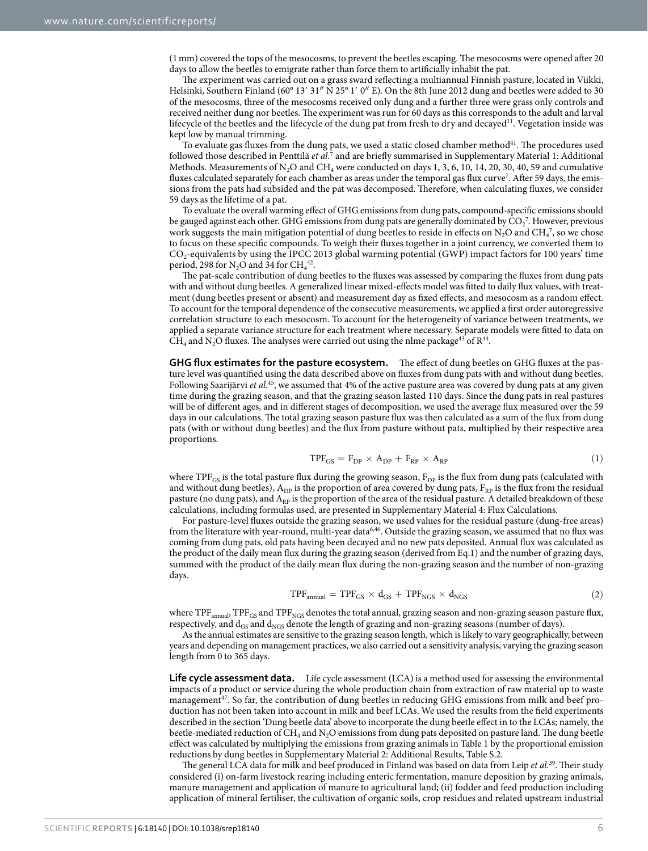(1mm) covered the tops of the mesocosms, to prevent the beetles escaping. The mesocosms were opened after 20 days to allow the beetles to emigrate rather than force them to artificially inhabit the pat.

The experiment was carried out on a grass sward reflecting a multiannual Finnish pasture, located in Viikki, Helsinki, Southern Finland (60° 13′ 31″ N 25° 1′ 0″ E). On the 8th June 2012 dung and beetles were added to 30 of the mesocosms, three of the mesocosms received only dung and a further three were grass only controls and received neither dung nor beetles. The experiment was run for 60 days as this corresponds to the adult and larval lifecycle of the beetles and the lifecycle of the dung pat from fresh to dry and decayed<sup>11</sup>. Vegetation inside was kept low by manual trimming.

To evaluate gas fluxes from the dung pats, we used a static closed chamber method<sup>41</sup>. The procedures used followed those described in Penttilä *et al.<sup>7</sup>* and are briefly summarised in Supplementary Material 1: Additional Methods. Measurements of  $N_2O$  and  $CH_4$  were conducted on days 1, 3, 6, 10, 14, 20, 30, 40, 59 and cumulative fluxes calculated separately for each chamber as areas under the temporal gas flux curve<sup>7</sup>. After 59 days, the emissions from the pats had subsided and the pat was decomposed. Therefore, when calculating fluxes, we consider 59 days as the lifetime of a pat.

To evaluate the overall warming effect of GHG emissions from dung pats, compound-specific emissions should be gauged against each other. GHG emissions from dung pats are generally dominated by  $CO_2^7$ . However, previous work suggests the main mitigation potential of dung beetles to reside in effects on  $N_2O$  and  $CH_4^7$ , so we chose to focus on these specific compounds. To weigh their fluxes together in a joint currency, we converted them to CO2-equivalents by using the IPCC 2013 global warming potential (GWP) impact factors for 100 years' time period, 298 for  $N_2O$  and 34 for  $CH_4^{42}$ .

The pat-scale contribution of dung beetles to the fluxes was assessed by comparing the fluxes from dung pats with and without dung beetles. A generalized linear mixed-effects model was fitted to daily flux values, with treatment (dung beetles present or absent) and measurement day as fixed effects, and mesocosm as a random effect. To account for the temporal dependence of the consecutive measurements, we applied a first order autoregressive correlation structure to each mesocosm. To account for the heterogeneity of variance between treatments, we applied a separate variance structure for each treatment where necessary. Separate models were fitted to data on CH<sub>4</sub> and N<sub>2</sub>O fluxes. The analyses were carried out using the nlme package<sup>43</sup> of R<sup>44</sup>.

**GHG flux estimates for the pasture ecosystem.** The effect of dung beetles on GHG fluxes at the pasture level was quantified using the data described above on fluxes from dung pats with and without dung beetles. Following Saarijärvi *et al.*45, we assumed that 4% of the active pasture area was covered by dung pats at any given time during the grazing season, and that the grazing season lasted 110 days. Since the dung pats in real pastures will be of different ages, and in different stages of decomposition, we used the average flux measured over the 59 days in our calculations. The total grazing season pasture flux was then calculated as a sum of the flux from dung pats (with or without dung beetles) and the flux from pasture without pats, multiplied by their respective area proportions.

$$
TPF_{GS} = F_{DP} \times A_{DP} + F_{RP} \times A_{RP}
$$
\n<sup>(1)</sup>

where TPF<sub>GS</sub> is the total pasture flux during the growing season,  $F_{DP}$  is the flux from dung pats (calculated with and without dung beetles),  $A_{DP}$  is the proportion of area covered by dung pats,  $F_{RP}$  is the flux from the residual pasture (no dung pats), and  $A_{RP}$  is the proportion of the area of the residual pasture. A detailed breakdown of these calculations, including formulas used, are presented in Supplementary Material 4: Flux Calculations.

For pasture-level fluxes outside the grazing season, we used values for the residual pasture (dung-free areas) from the literature with year-round, multi-year data<sup>6,46</sup>. Outside the grazing season, we assumed that no flux was coming from dung pats, old pats having been decayed and no new pats deposited. Annual flux was calculated as the product of the daily mean flux during the grazing season (derived from Eq.1) and the number of grazing days, summed with the product of the daily mean flux during the non-grazing season and the number of non-grazing days.

$$
TPF_{annual} = TPF_{GS} \times d_{GS} + TPF_{NGS} \times d_{NGS}
$$
 (2)

where TPF<sub>annual</sub>, TPF<sub>GS</sub> and TPF<sub>NGS</sub> denotes the total annual, grazing season and non-grazing season pasture flux, respectively, and  $d_{GS}$  and  $d_{NGS}$  denote the length of grazing and non-grazing seasons (number of days).

As the annual estimates are sensitive to the grazing season length, which is likely to vary geographically, between years and depending on management practices, we also carried out a sensitivity analysis, varying the grazing season length from 0 to 365 days.

Life cycle assessment data. Life cycle assessment (LCA) is a method used for assessing the environmental impacts of a product or service during the whole production chain from extraction of raw material up to waste management<sup>47</sup>. So far, the contribution of dung beetles in reducing GHG emissions from milk and beef production has not been taken into account in milk and beef LCAs. We used the results from the field experiments described in the section 'Dung beetle data' above to incorporate the dung beetle effect in to the LCAs; namely, the beetle-mediated reduction of CH<sub>4</sub> and N<sub>2</sub>O emissions from dung pats deposited on pasture land. The dung beetle effect was calculated by multiplying the emissions from grazing animals in Table 1 by the proportional emission reductions by dung beetles in Supplementary Material 2: Additional Results, Table S.2.

The general LCA data for milk and beef produced in Finland was based on data from Leip *et al.*39. Their study considered (i) on-farm livestock rearing including enteric fermentation, manure deposition by grazing animals, manure management and application of manure to agricultural land; (ii) fodder and feed production including application of mineral fertiliser, the cultivation of organic soils, crop residues and related upstream industrial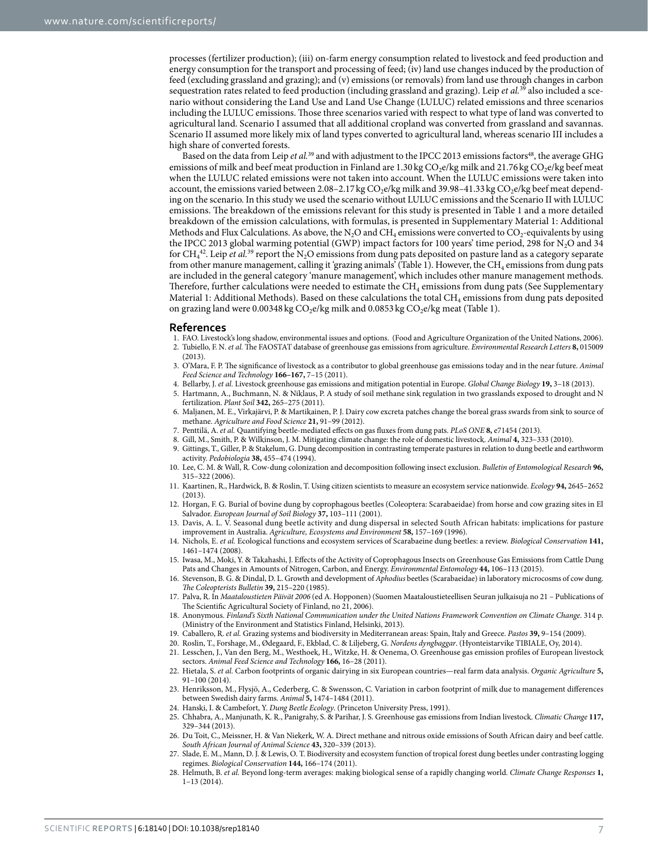processes (fertilizer production); (iii) on-farm energy consumption related to livestock and feed production and energy consumption for the transport and processing of feed; (iv) land use changes induced by the production of feed (excluding grassland and grazing); and (v) emissions (or removals) from land use through changes in carbon sequestration rates related to feed production (including grassland and grazing). Leip *et al.*39 also included a scenario without considering the Land Use and Land Use Change (LULUC) related emissions and three scenarios including the LULUC emissions. Those three scenarios varied with respect to what type of land was converted to agricultural land. Scenario I assumed that all additional cropland was converted from grassland and savannas. Scenario II assumed more likely mix of land types converted to agricultural land, whereas scenario III includes a high share of converted forests.

Based on the data from Leip *et al.*<sup>39</sup> and with adjustment to the IPCC 2013 emissions factors<sup>48</sup>, the average GHG emissions of milk and beef meat production in Finland are 1.30 kg  $CO_2e/kg$  milk and 21.76 kg  $CO_2e/kg$  beef meat when the LULUC related emissions were not taken into account. When the LULUC emissions were taken into account, the emissions varied between 2.08–2.17 kg CO<sub>2</sub>e/kg milk and 39.98–41.33 kg CO<sub>2</sub>e/kg beef meat depending on the scenario. In this study we used the scenario without LULUC emissions and the Scenario II with LULUC emissions. The breakdown of the emissions relevant for this study is presented in Table 1 and a more detailed breakdown of the emission calculations, with formulas, is presented in Supplementary Material 1: Additional Methods and Flux Calculations. As above, the N<sub>2</sub>O and CH<sub>4</sub> emissions were converted to CO<sub>2</sub>-equivalents by using the IPCC 2013 global warming potential (GWP) impact factors for 100 years' time period, 298 for  $N<sub>2</sub>O$  and 34 for  $CH_4^{42}$ . Leip *et al.*<sup>39</sup> report the N<sub>2</sub>O emissions from dung pats deposited on pasture land as a category separate from other manure management, calling it 'grazing animals' (Table 1). However, the CH<sub>4</sub> emissions from dung pats are included in the general category 'manure management', which includes other manure management methods. Therefore, further calculations were needed to estimate the  $CH_4$  emissions from dung pats (See Supplementary Material 1: Additional Methods). Based on these calculations the total  $CH_4$  emissions from dung pats deposited on grazing land were 0.00348 kg  $CO<sub>2</sub>e/kg$  milk and 0.0853 kg  $CO<sub>2</sub>e/kg$  meat (Table 1).

#### **References**

- 1. FAO. Livestock's long shadow, environmental issues and options. (Food and Agriculture Organization of the United Nations, 2006). 2. Tubiello, F. N. *et al.* The FAOSTAT database of greenhouse gas emissions from agriculture. *Environmental Research Letters* **8,** 015009
- (2013). 3. O'Mara, F. P. The significance of livestock as a contributor to global greenhouse gas emissions today and in the near future. *Animal Feed Science and Technology* **166–167,** 7–15 (2011).
- 4. Bellarby, J. *et al.* Livestock greenhouse gas emissions and mitigation potential in Europe. *Global Change Biology* **19,** 3–18 (2013).
- 5. Hartmann, A., Buchmann, N. & Niklaus, P. A study of soil methane sink regulation in two grasslands exposed to drought and N fertilization. *Plant Soil* **342,** 265–275 (2011).
- 6. Maljanen, M. E., Virkajärvi, P. & Martikainen, P. J. Dairy cow excreta patches change the boreal grass swards from sink to source of methane. *Agriculture and Food Science* **21,** 91–99 (2012).
- 7. Penttilä, A. *et al.* Quantifying beetle-mediated effects on gas fluxes from dung pats. *PLoS ONE* **8,** e71454 (2013).
- 8. Gill, M., Smith, P. & Wilkinson, J. M. Mitigating climate change: the role of domestic livestock. *Animal* **4,** 323–333 (2010).
- 9. Gittings, T., Giller, P. & Stakelum, G. Dung decomposition in contrasting temperate pastures in relation to dung beetle and earthworm activity. *Pedobiologia* **38,** 455–474 (1994).
- 10. Lee, C. M. & Wall, R. Cow-dung colonization and decomposition following insect exclusion. *Bulletin of Entomological Research* **96,** 315–322 (2006).
- 11. Kaartinen, R., Hardwick, B. & Roslin, T. Using citizen scientists to measure an ecosystem service nationwide. *Ecology* **94,** 2645–2652 (2013).
- 12. Horgan, F. G. Burial of bovine dung by coprophagous beetles (Coleoptera: Scarabaeidae) from horse and cow grazing sites in El Salvador. *European Journal of Soil Biology* **37,** 103–111 (2001).
- 13. Davis, A. L. V. Seasonal dung beetle activity and dung dispersal in selected South African habitats: implications for pasture improvement in Australia. *Agriculture, Ecosystems and Environment* **58,** 157–169 (1996).
- 14. Nichols, E. *et al.* Ecological functions and ecosystem services of Scarabaeine dung beetles: a review. *Biological Conservation* **141,** 1461–1474 (2008).
- 15. Iwasa, M., Moki, Y. & Takahashi, J. Effects of the Activity of Coprophagous Insects on Greenhouse Gas Emissions from Cattle Dung Pats and Changes in Amounts of Nitrogen, Carbon, and Energy. *Environmental Entomology* **44,** 106–113 (2015).
- 16. Stevenson, B. G. & Dindal, D. L. Growth and development of *Aphodius* beetles (Scarabaeidae) in laboratory microcosms of cow dung. *The Coleopterists Bulletin* **39,** 215–220 (1985).
- 17. Palva, R. In *Maataloustieten Päivät 2006* (ed A. Hopponen) (Suomen Maataloustieteellisen Seuran julkaisuja no 21 Publications of The Scientific Agricultural Society of Finland, no 21, 2006).
- 18. Anonymous. *Finland's Sixth National Communication under the United Nations Framework Convention on Climate Change*. 314 p. (Ministry of the Environment and Statistics Finland, Helsinki, 2013).
- 19. Caballero, R. *et al.* Grazing systems and biodiversity in Mediterranean areas: Spain, Italy and Greece. *Pastos* **39,** 9–154 (2009).
- 20. Roslin, T., Forshage, M., Ødegaard, F., Ekblad, C. & Liljeberg, G. *Nordens dyngbaggar*. (Hyonteistarvike TIBIALE, Oy, 2014).
- 21. Lesschen, J., Van den Berg, M., Westhoek, H., Witzke, H. & Oenema, O. Greenhouse gas emission profiles of European livestock sectors. *Animal Feed Science and Technology* **166,** 16–28 (2011).
- 22. Hietala, S. *et al.* Carbon footprints of organic dairying in six European countries—real farm data analysis. *Organic Agriculture* **5,** 91–100 (2014).
- 23. Henriksson, M., Flysjö, A., Cederberg, C. & Swensson, C. Variation in carbon footprint of milk due to management differences between Swedish dairy farms. *Animal* **5,** 1474–1484 (2011).
- 24. Hanski, I. & Cambefort, Y. *Dung Beetle Ecology*. (Princeton University Press, 1991).
- 25. Chhabra, A., Manjunath, K. R., Panigrahy, S. & Parihar, J. S. Greenhouse gas emissions from Indian livestock. *Climatic Change* **117,** 329–344 (2013).
- 26. Du Toit, C., Meissner, H. & Van Niekerk, W. A. Direct methane and nitrous oxide emissions of South African dairy and beef cattle. *South African Journal of Animal Science* **43,** 320–339 (2013).
	- 27. Slade, E. M., Mann, D. J. & Lewis, O. T. Biodiversity and ecosystem function of tropical forest dung beetles under contrasting logging regimes. *Biological Conservation* **144,** 166–174 (2011).
- 28. Helmuth, B. *et al.* Beyond long-term averages: making biological sense of a rapidly changing world. *Climate Change Responses* **1,** 1–13 (2014).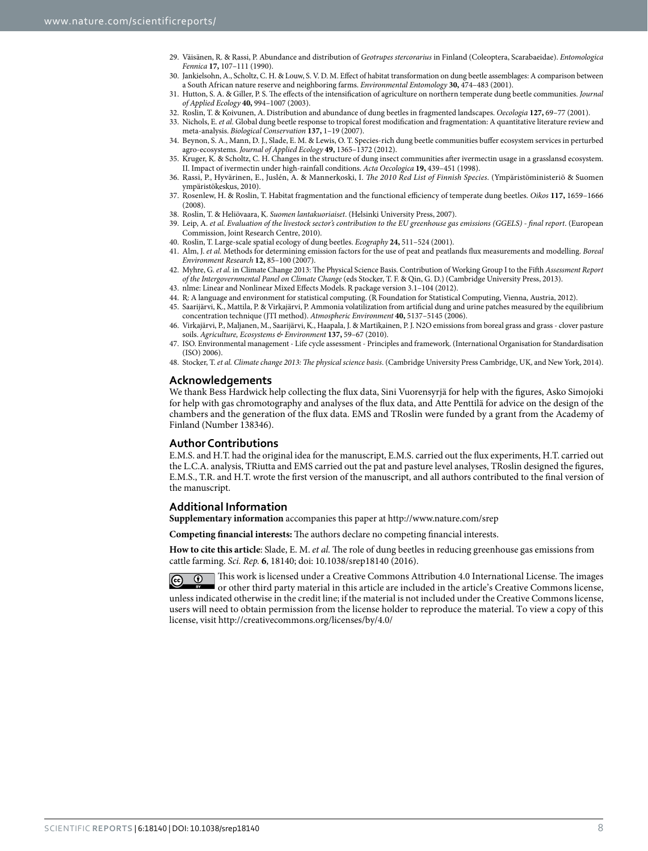- 29. Väisänen, R. & Rassi, P. Abundance and distribution of *Geotrupes stercorarius* in Finland (Coleoptera, Scarabaeidae). *Entomologica Fennica* **17,** 107–111 (1990).
- 30. Jankielsohn, A., Scholtz, C. H. & Louw, S. V. D. M. Effect of habitat transformation on dung beetle assemblages: A comparison between a South African nature reserve and neighboring farms. *Environmental Entomology* **30,** 474–483 (2001).
- 31. Hutton, S. A. & Giller, P. S. The effects of the intensification of agriculture on northern temperate dung beetle communities. *Journal of Applied Ecology* **40,** 994–1007 (2003).
- 32. Roslin, T. & Koivunen, A. Distribution and abundance of dung beetles in fragmented landscapes. *Oecologia* **127,** 69–77 (2001).
- 33. Nichols, E. *et al.* Global dung beetle response to tropical forest modification and fragmentation: A quantitative literature review and meta-analysis. *Biological Conservation* **137,** 1–19 (2007).
- 34. Beynon, S. A., Mann, D. J., Slade, E. M. & Lewis, O. T. Species-rich dung beetle communities buffer ecosystem services in perturbed agro-ecosystems. *Journal of Applied Ecology* **49,** 1365–1372 (2012).
- 35. Kruger, K. & Scholtz, C. H. Changes in the structure of dung insect communities after ivermectin usage in a grasslansd ecosystem. II. Impact of ivermectin under high-rainfall conditions. *Acta Oecologica* **19,** 439–451 (1998).
- 36. Rassi, P., Hyvärinen, E., Juslén, A. & Mannerkoski, I. *The 2010 Red List of Finnish Species*. (Ympäristöministeriö & Suomen ympäristökeskus, 2010).
- 37. Rosenlew, H. & Roslin, T. Habitat fragmentation and the functional efficiency of temperate dung beetles. *Oikos* **117,** 1659–1666  $(2008)$
- 38. Roslin, T. & Heliövaara, K. *Suomen lantakuoriaiset*. (Helsinki University Press, 2007).
- 39. Leip, A. *et al. Evaluation of the livestock sector's contribution to the EU greenhouse gas emissions (GGELS) final report*. (European Commission, Joint Research Centre, 2010).
- 40. Roslin, T. Large-scale spatial ecology of dung beetles. *Ecography* **24,** 511–524 (2001).
- 41. Alm, J. *et al.* Methods for determining emission factors for the use of peat and peatlands flux measurements and modelling. *Boreal Environment Research* **12,** 85–100 (2007).
- 42. Myhre, G. *et al.* in Climate Change 2013: The Physical Science Basis. Contribution of Working Group I to the Fifth *Assessment Report of the Intergovernmental Panel on Climate Change* (eds Stocker, T. F. & Qin, G. D.) (Cambridge University Press, 2013).
- 43. nlme: Linear and Nonlinear Mixed Effects Models. R package version 3.1–104 (2012).
- 44. R: A language and environment for statistical computing. (R Foundation for Statistical Computing, Vienna, Austria, 2012).
- 45. Saarijärvi, K., Mattila, P. & Virkajärvi, P. Ammonia volatilization from artificial dung and urine patches measured by the equilibrium concentration technique (JTI method). *Atmospheric Environment* **40,** 5137–5145 (2006).
- 46. Virkajärvi, P., Maljanen, M., Saarijärvi, K., Haapala, J. & Martikainen, P. J. N2O emissions from boreal grass and grass clover pasture soils. *Agriculture, Ecosystems & Environment* **137,** 59–67 (2010).
- 47. ISO. Environmental management Life cycle assessment Principles and framework. (International Organisation for Standardisation (ISO) 2006).
- 48. Stocker, T. *et al. Climate change 2013: The physical science basis*. (Cambridge University Press Cambridge, UK, and New York, 2014).

### **Acknowledgements**

We thank Bess Hardwick help collecting the flux data, Sini Vuorensyrjä for help with the figures, Asko Simojoki for help with gas chromotography and analyses of the flux data, and Atte Penttilä for advice on the design of the chambers and the generation of the flux data. EMS and TRoslin were funded by a grant from the Academy of Finland (Number 138346).

#### **Author Contributions**

E.M.S. and H.T. had the original idea for the manuscript, E.M.S. carried out the flux experiments, H.T. carried out the L.C.A. analysis, TRiutta and EMS carried out the pat and pasture level analyses, TRoslin designed the figures, E.M.S., T.R. and H.T. wrote the first version of the manuscript, and all authors contributed to the final version of the manuscript.

#### **Additional Information**

**Supplementary information** accompanies this paper at <http://www.nature.com/srep>

**Competing financial interests:** The authors declare no competing financial interests.

**How to cite this article**: Slade, E. M. *et al.* The role of dung beetles in reducing greenhouse gas emissions from cattle farming. *Sci. Rep.* **6**, 18140; doi: 10.1038/srep18140 (2016).

This work is licensed under a Creative Commons Attribution 4.0 International License. The images  $\omega$ or other third party material in this article are included in the article's Creative Commons license, unless indicated otherwise in the credit line; if the material is not included under the Creative Commons license, users will need to obtain permission from the license holder to reproduce the material. To view a copy of this license, visit <http://creativecommons.org/licenses/by/4.0/>